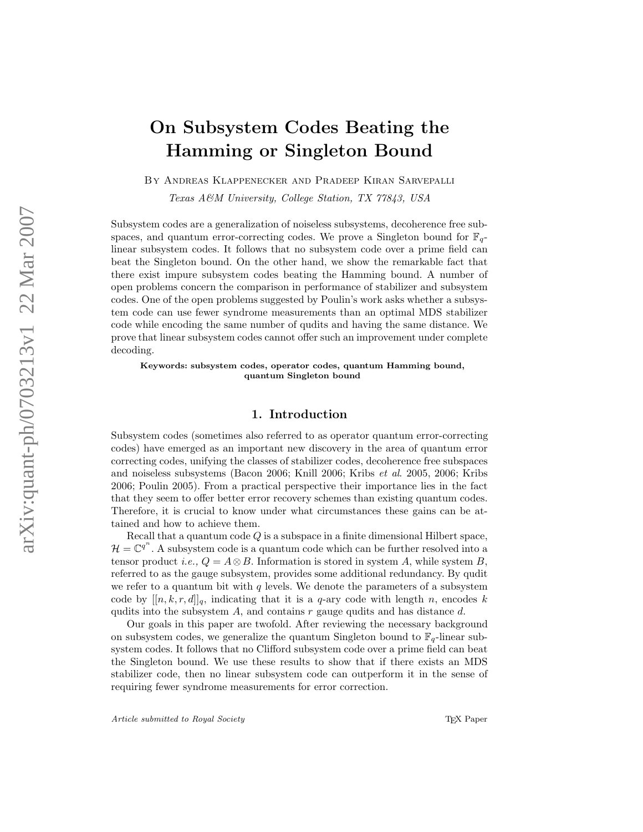# On Subsystem Codes Beating the Hamming or Singleton Bound

By Andreas Klappenecker and Pradeep Kiran Sarvepalli

Texas A&M University, College Station, TX 77843, USA

Subsystem codes are a generalization of noiseless subsystems, decoherence free subspaces, and quantum error-correcting codes. We prove a Singleton bound for  $\mathbb{F}_q$ linear subsystem codes. It follows that no subsystem code over a prime field can beat the Singleton bound. On the other hand, we show the remarkable fact that there exist impure subsystem codes beating the Hamming bound. A number of open problems concern the comparison in performance of stabilizer and subsystem codes. One of the open problems suggested by Poulin's work asks whether a subsystem code can use fewer syndrome measurements than an optimal MDS stabilizer code while encoding the same number of qudits and having the same distance. We prove that linear subsystem codes cannot offer such an improvement under complete decoding.

Keywords: subsystem codes, operator codes, quantum Hamming bound, quantum Singleton bound

# 1. Introduction

Subsystem codes (sometimes also referred to as operator quantum error-correcting codes) have emerged as an important new discovery in the area of quantum error correcting codes, unifying the classes of stabilizer codes, decoherence free subspaces and noiseless subsystems (Bacon 2006; Knill 2006; Kribs et al. 2005, 2006; Kribs 2006; Poulin 2005). From a practical perspective their importance lies in the fact that they seem to offer better error recovery schemes than existing quantum codes. Therefore, it is crucial to know under what circumstances these gains can be attained and how to achieve them.

Recall that a quantum code  $Q$  is a subspace in a finite dimensional Hilbert space,  $\mathcal{H} = \mathbb{C}^{q^n}$ . A subsystem code is a quantum code which can be further resolved into a tensor product *i.e.*,  $Q = A \otimes B$ . Information is stored in system A, while system B, referred to as the gauge subsystem, provides some additional redundancy. By qudit we refer to a quantum bit with  $q$  levels. We denote the parameters of a subsystem code by  $[[n, k, r, d]]_q$ , indicating that it is a q-ary code with length n, encodes k qudits into the subsystem  $A$ , and contains  $r$  gauge qudits and has distance  $d$ .

Our goals in this paper are twofold. After reviewing the necessary background on subsystem codes, we generalize the quantum Singleton bound to  $\mathbb{F}_q$ -linear subsystem codes. It follows that no Clifford subsystem code over a prime field can beat the Singleton bound. We use these results to show that if there exists an MDS stabilizer code, then no linear subsystem code can outperform it in the sense of requiring fewer syndrome measurements for error correction.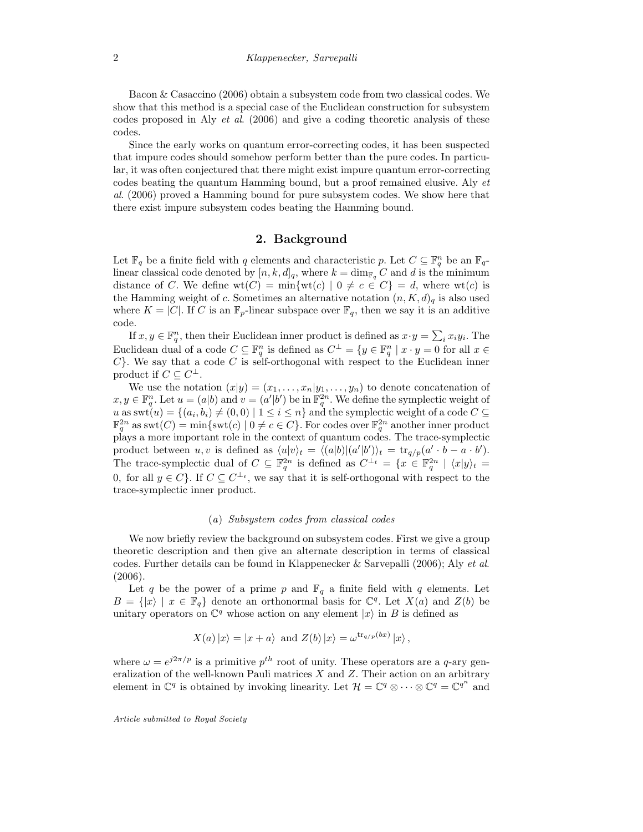Bacon & Casaccino (2006) obtain a subsystem code from two classical codes. We show that this method is a special case of the Euclidean construction for subsystem codes proposed in Aly et al. (2006) and give a coding theoretic analysis of these codes.

Since the early works on quantum error-correcting codes, it has been suspected that impure codes should somehow perform better than the pure codes. In particular, it was often conjectured that there might exist impure quantum error-correcting codes beating the quantum Hamming bound, but a proof remained elusive. Aly et al. (2006) proved a Hamming bound for pure subsystem codes. We show here that there exist impure subsystem codes beating the Hamming bound.

## 2. Background

Let  $\mathbb{F}_q$  be a finite field with q elements and characteristic p. Let  $C \subseteq \mathbb{F}_q^n$  be an  $\mathbb{F}_q$ linear classical code denoted by  $[n, k, d]_q$ , where  $k = \dim_{\mathbb{F}_q} C$  and d is the minimum distance of C. We define  $wt(C) = min\{wt(c) | 0 \neq c \in C\} = d$ , where  $wt(c)$  is the Hamming weight of c. Sometimes an alternative notation  $(n, K, d)$ <sub>a</sub> is also used where  $K = |C|$ . If C is an  $\mathbb{F}_p$ -linear subspace over  $\mathbb{F}_q$ , then we say it is an additive code.

If  $x, y \in \mathbb{F}_q^n$ , then their Euclidean inner product is defined as  $x \cdot y = \sum_i x_i y_i$ . The Euclidean dual of a code  $C \subseteq \mathbb{F}_q^n$  is defined as  $C^{\perp} = \{y \in \mathbb{F}_q^n \mid x \cdot y = 0 \text{ for all } x \in$  $C$ . We say that a code C is self-orthogonal with respect to the Euclidean inner product if  $C \subseteq C^{\perp}$ .

We use the notation  $(x|y) = (x_1, \ldots, x_n | y_1, \ldots, y_n)$  to denote concatenation of  $x, y \in \mathbb{F}_q^n$ . Let  $u = (a|b)$  and  $v = (a'|b')$  be in  $\mathbb{F}_q^{2n}$ . We define the symplectic weight of  $u$  as swt $(u) = \{(a_i, b_i) \neq (0, 0) \mid 1 \leq i \leq n\}$  and the symplectic weight of a code  $C \subseteq$  $\mathbb{F}_q^{2n}$  as  $\mathrm{swt}(C) = \min\{\mathrm{swt}(c) \mid 0 \neq c \in C\}$ . For codes over  $\mathbb{F}_q^{2n}$  another inner product plays a more important role in the context of quantum codes. The trace-symplectic product between  $u, v$  is defined as  $\langle u|v\rangle_t = \langle (a|b)|(a'|b')\rangle_t = \text{tr}_{q/p}(a' \cdot b - a \cdot b').$ The trace-symplectic dual of  $C \subseteq \mathbb{F}_q^{2n}$  is defined as  $C^{\perp_t} = \{x \in \mathbb{F}_q^{2n} \mid \langle x|y \rangle_t =$ 0, for all  $y \in C$ . If  $C \subseteq C^{\perp_t}$ , we say that it is self-orthogonal with respect to the trace-symplectic inner product.

#### (a) Subsystem codes from classical codes

We now briefly review the background on subsystem codes. First we give a group theoretic description and then give an alternate description in terms of classical codes. Further details can be found in Klappenecker & Sarvepalli (2006); Aly et al. (2006).

Let q be the power of a prime p and  $\mathbb{F}_q$  a finite field with q elements. Let  $B = \{ |x\rangle \mid x \in \mathbb{F}_q \}$  denote an orthonormal basis for  $\mathbb{C}^q$ . Let  $X(a)$  and  $Z(b)$  be unitary operators on  $\mathbb{C}^q$  whose action on any element  $|x\rangle$  in B is defined as

$$
X(a) |x\rangle = |x + a\rangle \text{ and } Z(b) |x\rangle = \omega^{\text{tr}_{q/p}(bx)} |x\rangle,
$$

where  $\omega = e^{j2\pi/p}$  is a primitive  $p^{th}$  root of unity. These operators are a q-ary generalization of the well-known Pauli matrices  $X$  and  $Z$ . Their action on an arbitrary element in  $\mathbb{C}^q$  is obtained by invoking linearity. Let  $\mathcal{H} = \mathbb{C}^q \otimes \cdots \otimes \mathbb{C}^q = \mathbb{C}^{q^n}$  and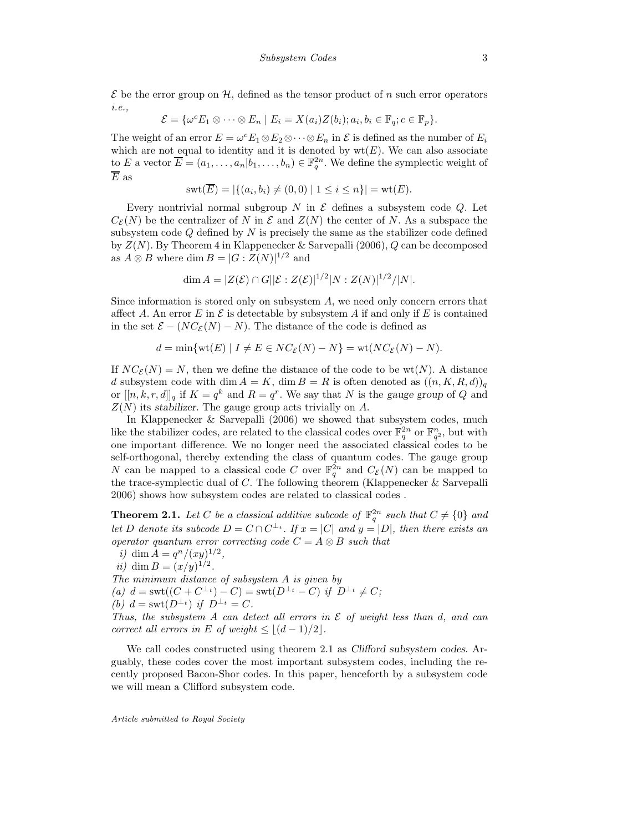$\mathcal E$  be the error group on  $\mathcal H$ , defined as the tensor product of n such error operators i.e.,

$$
\mathcal{E} = \{ \omega^c E_1 \otimes \cdots \otimes E_n \mid E_i = X(a_i)Z(b_i); a_i, b_i \in \mathbb{F}_q; c \in \mathbb{F}_p \}.
$$

The weight of an error  $E = \omega^c E_1 \otimes E_2 \otimes \cdots \otimes E_n$  in  $\mathcal E$  is defined as the number of  $E_i$ which are not equal to identity and it is denoted by  $wt(E)$ . We can also associate to E a vector  $\overline{E} = (a_1, \ldots, a_n | b_1, \ldots, b_n) \in \mathbb{F}_q^{2n}$ . We define the symplectic weight of  $\overline{E}$  as

$$
swt(\overline{E}) = |\{(a_i, b_i) \neq (0, 0) | 1 \leq i \leq n\}| = wt(E).
$$

Every nontrivial normal subgroup N in  $\mathcal E$  defines a subsystem code  $Q$ . Let  $C_{\mathcal{E}}(N)$  be the centralizer of N in  $\mathcal{E}$  and  $Z(N)$  the center of N. As a subspace the subsystem code  $Q$  defined by  $N$  is precisely the same as the stabilizer code defined by  $Z(N)$ . By Theorem 4 in Klappenecker & Sarvepalli (2006), Q can be decomposed as  $A \otimes B$  where dim  $B = |G : Z(N)|^{1/2}$  and

$$
\dim A = |Z(\mathcal{E}) \cap G||\mathcal{E} : Z(\mathcal{E})|^{1/2}|N : Z(N)|^{1/2}/|N|.
$$

Since information is stored only on subsystem  $A$ , we need only concern errors that affect A. An error E in  $\mathcal E$  is detectable by subsystem A if and only if E is contained in the set  $\mathcal{E} - (NC_{\mathcal{E}}(N) - N)$ . The distance of the code is defined as

$$
d = \min\{\text{wt}(E) \mid I \neq E \in NC_{\mathcal{E}}(N) - N\} = \text{wt}(NC_{\mathcal{E}}(N) - N).
$$

If  $NC_{\mathcal{E}}(N) = N$ , then we define the distance of the code to be wt(N). A distance d subsystem code with dim  $A = K$ , dim  $B = R$  is often denoted as  $((n, K, R, d))_q$ or  $[[n, k, r, d]]_q$  if  $K = q^k$  and  $R = q^r$ . We say that N is the gauge group of Q and  $Z(N)$  its stabilizer. The gauge group acts trivially on A.

In Klappenecker & Sarvepalli (2006) we showed that subsystem codes, much like the stabilizer codes, are related to the classical codes over  $\mathbb{F}_q^{2n}$  or  $\mathbb{F}_{q^2}^n$ , but with one important difference. We no longer need the associated classical codes to be self-orthogonal, thereby extending the class of quantum codes. The gauge group N can be mapped to a classical code C over  $\mathbb{F}_q^{2n}$  and  $C_{\mathcal{E}}(N)$  can be mapped to the trace-symplectic dual of  $C$ . The following theorem (Klappenecker  $\&$  Sarvepalli 2006) shows how subsystem codes are related to classical codes .

**Theorem 2.1.** Let C be a classical additive subcode of  $\mathbb{F}_q^{2n}$  such that  $C \neq \{0\}$  and let D denote its subcode  $D = C \cap C^{\perp_t}$ . If  $x = |C|$  and  $y = |D|$ , then there exists an operator quantum error correcting code  $C = A \otimes B$  such that

i) dim  $A = q^n/(xy)^{1/2}$ , ii) dim  $B = (x/y)^{1/2}$ . The minimum distance of subsystem A is given by (a)  $d = \text{swt}((C + C^{\perp_t}) - C) = \text{swt}(D^{\perp_t} - C)$  if  $D^{\perp_t} \neq C$ ; (b)  $d = \text{swt}(D^{\perp_t})$  if  $D^{\perp_t} = C$ . Thus, the subsystem A can detect all errors in  $\mathcal E$  of weight less than d, and can

correct all errors in E of weight  $\leq |(d-1)/2|$ .

We call codes constructed using theorem 2.1 as Clifford subsystem codes. Arguably, these codes cover the most important subsystem codes, including the recently proposed Bacon-Shor codes. In this paper, henceforth by a subsystem code we will mean a Clifford subsystem code.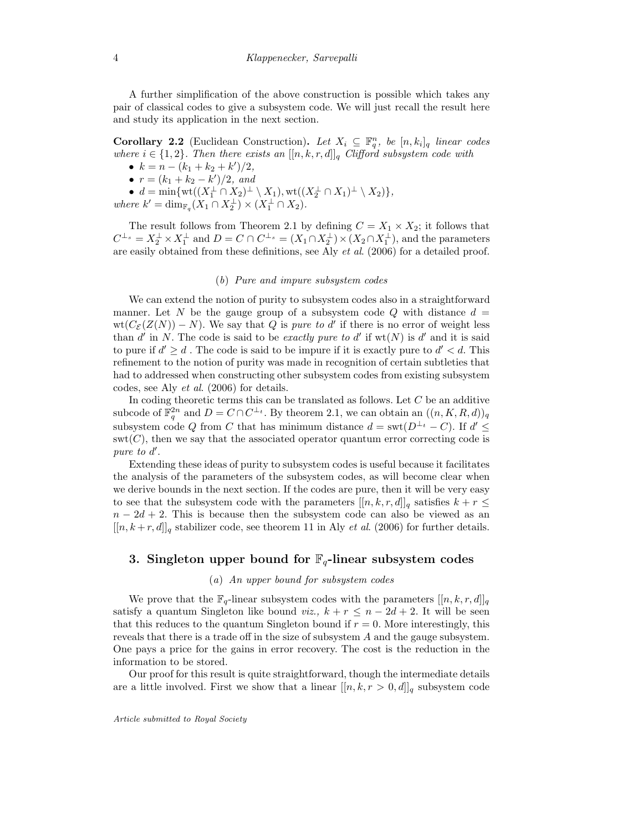A further simplification of the above construction is possible which takes any pair of classical codes to give a subsystem code. We will just recall the result here and study its application in the next section.

**Corollary 2.2** (Euclidean Construction). Let  $X_i \subseteq \mathbb{F}_q^n$ , be  $[n, k_i]_q$  linear codes where  $i \in \{1,2\}$ . Then there exists an  $[[n,k,r,d]]_q$  Clifford subsystem code with

- $k = n (k_1 + k_2 + k')/2,$
- $r = (k_1 + k_2 k')/2$ , and

•  $d = \min\{wt((X_1^{\perp} \cap X_2)^{\perp} \setminus X_1), wt((X_2^{\perp} \cap X_1)^{\perp} \setminus X_2)\},\$ where  $k' = \dim_{\mathbb{F}_q}(X_1 \cap X_2^{\perp}) \times (X_1^{\perp} \cap X_2).$ 

The result follows from Theorem 2.1 by defining  $C = X_1 \times X_2$ ; it follows that  $C^{\perp_s} = X_2^{\perp} \times X_1^{\perp}$  and  $D = C \cap C^{\perp_s} = (X_1 \cap X_2^{\perp}) \times (X_2 \cap X_1^{\perp})$ , and the parameters are easily obtained from these definitions, see Aly et al. (2006) for a detailed proof.

#### (b) Pure and impure subsystem codes

We can extend the notion of purity to subsystem codes also in a straightforward manner. Let N be the gauge group of a subsystem code Q with distance  $d =$  $wt(C_{\mathcal{E}}(Z(N))-N)$ . We say that Q is *pure to d'* if there is no error of weight less than d' in N. The code is said to be exactly pure to d' if  $wt(N)$  is d' and it is said to pure if  $d' \geq d$ . The code is said to be impure if it is exactly pure to  $d' < d$ . This refinement to the notion of purity was made in recognition of certain subtleties that had to addressed when constructing other subsystem codes from existing subsystem codes, see Aly et al. (2006) for details.

In coding theoretic terms this can be translated as follows. Let  $C$  be an additive subcode of  $\mathbb{F}_q^{2n}$  and  $D = C \cap C^{\perp_t}$ . By theorem 2.1, we can obtain an  $((n, K, R, d))_q$ subsystem code Q from C that has minimum distance  $d = \text{swt}(D^{\perp_t} - C)$ . If  $d' \leq$  $\text{swt}(C)$ , then we say that the associated operator quantum error correcting code is pure to  $d'$ .

Extending these ideas of purity to subsystem codes is useful because it facilitates the analysis of the parameters of the subsystem codes, as will become clear when we derive bounds in the next section. If the codes are pure, then it will be very easy to see that the subsystem code with the parameters  $[[n, k, r, d]]_q$  satisfies  $k + r \leq$  $n - 2d + 2$ . This is because then the subsystem code can also be viewed as an  $[[n, k+r, d]]_q$  stabilizer code, see theorem 11 in Aly *et al.* (2006) for further details.

## 3. Singleton upper bound for  $\mathbb{F}_q$ -linear subsystem codes

#### (a) An upper bound for subsystem codes

We prove that the  $\mathbb{F}_q$ -linear subsystem codes with the parameters  $[[n, k, r, d]]_q$ satisfy a quantum Singleton like bound viz.,  $k + r \leq n - 2d + 2$ . It will be seen that this reduces to the quantum Singleton bound if  $r = 0$ . More interestingly, this reveals that there is a trade off in the size of subsystem A and the gauge subsystem. One pays a price for the gains in error recovery. The cost is the reduction in the information to be stored.

Our proof for this result is quite straightforward, though the intermediate details are a little involved. First we show that a linear  $[[n, k, r > 0, d]]_q$  subsystem code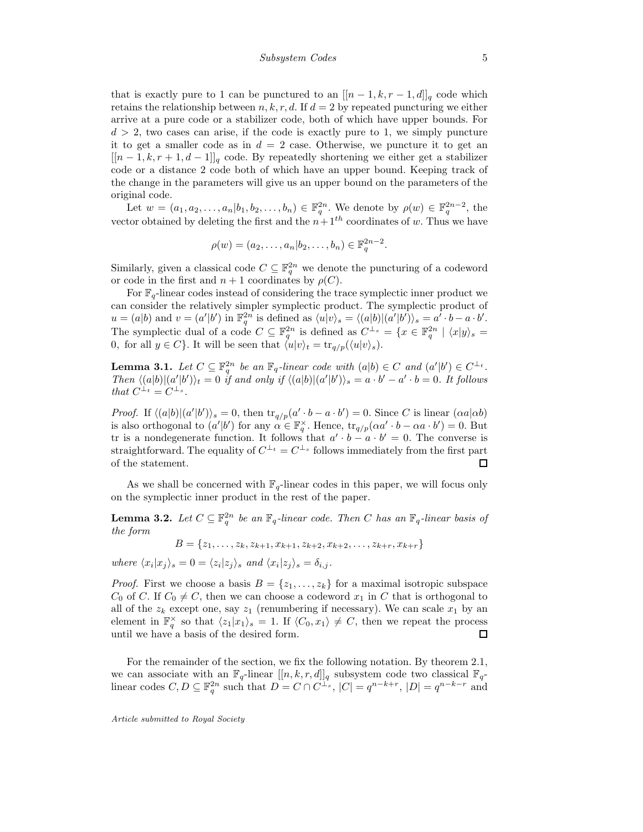that is exactly pure to 1 can be punctured to an  $[[n-1, k, r-1, d]]_q$  code which retains the relationship between  $n, k, r, d$ . If  $d = 2$  by repeated puncturing we either arrive at a pure code or a stabilizer code, both of which have upper bounds. For  $d > 2$ , two cases can arise, if the code is exactly pure to 1, we simply puncture it to get a smaller code as in  $d = 2$  case. Otherwise, we puncture it to get an  $[[n-1,k,r+1,d-1]]_q$  code. By repeatedly shortening we either get a stabilizer code or a distance 2 code both of which have an upper bound. Keeping track of the change in the parameters will give us an upper bound on the parameters of the original code.

Let  $w = (a_1, a_2, \ldots, a_n | b_1, b_2, \ldots, b_n) \in \mathbb{F}_q^{2n}$ . We denote by  $\rho(w) \in \mathbb{F}_q^{2n-2}$ , the vector obtained by deleting the first and the  $n+1<sup>th</sup>$  coordinates of w. Thus we have

$$
\rho(w)=(a_2,\ldots,a_n|b_2,\ldots,b_n)\in\mathbb{F}_q^{2n-2}.
$$

Similarly, given a classical code  $C \subseteq \mathbb{F}_q^{2n}$  we denote the puncturing of a codeword or code in the first and  $n + 1$  coordinates by  $\rho(C)$ .

For  $\mathbb{F}_q$ -linear codes instead of considering the trace symplectic inner product we can consider the relatively simpler symplectic product. The symplectic product of  $u = (a|b)$  and  $v = (a'|b')$  in  $\mathbb{F}_q^{2n}$  is defined as  $\langle u|v\rangle_s = \langle (a|b)|(a'|b')\rangle_s = a'\cdot b - a\cdot b'.$ The symplectic dual of a code  $C \subseteq \mathbb{F}_q^{2n}$  is defined as  $C^{\perp_s} = \{x \in \mathbb{F}_q^{2n} \mid \langle x|y \rangle_s =$ 0, for all  $y \in C$ . It will be seen that  $\langle u|v\rangle_t = \text{tr}_{q/p}(\langle u|v\rangle_s).$ 

**Lemma 3.1.** Let  $C \subseteq \mathbb{F}_q^{2n}$  be an  $\mathbb{F}_q$ -linear code with  $(a|b) \in C$  and  $(a'|b') \in C^{\perp_t}$ . Then  $\langle (a|b)|(a'|b')\rangle_t = 0$  if and only if  $\langle (a|b)|(a'|b')\rangle_s = a \cdot b' - a' \cdot b = 0$ . It follows that  $C^{\perp_t} = C^{\perp_s}$ .

*Proof.* If  $\langle (a|b)|(a'|b')\rangle_s = 0$ , then  $\text{tr}_{q/p}(a' \cdot b - a \cdot b') = 0$ . Since C is linear  $(\alpha a|\alpha b)$ is also orthogonal to  $(a'|b')$  for any  $\alpha \in \mathbb{F}_q^{\times}$ . Hence,  $\text{tr}_{q/p}(\alpha a' \cdot b - \alpha a \cdot b') = 0$ . But tr is a nondegenerate function. It follows that  $a' \cdot b - a \cdot b' = 0$ . The converse is straightforward. The equality of  $C^{\perp_t} = C^{\perp_s}$  follows immediately from the first part of the statement.  $\Box$ 

As we shall be concerned with  $\mathbb{F}_q$ -linear codes in this paper, we will focus only on the symplectic inner product in the rest of the paper.

**Lemma 3.2.** Let  $C \subseteq \mathbb{F}_q^{2n}$  be an  $\mathbb{F}_q$ -linear code. Then C has an  $\mathbb{F}_q$ -linear basis of the form

 $B = \{z_1, \ldots, z_k, z_{k+1}, x_{k+1}, z_{k+2}, x_{k+2}, \ldots, z_{k+r}, x_{k+r}\}$ 

where  $\langle x_i | x_j \rangle_s = 0 = \langle z_i | z_j \rangle_s$  and  $\langle x_i | z_j \rangle_s = \delta_{i,j}$ .

*Proof.* First we choose a basis  $B = \{z_1, \ldots, z_k\}$  for a maximal isotropic subspace  $C_0$  of C. If  $C_0 \neq C$ , then we can choose a codeword  $x_1$  in C that is orthogonal to all of the  $z_k$  except one, say  $z_1$  (renumbering if necessary). We can scale  $x_1$  by an element in  $\mathbb{F}_q^{\times}$  so that  $\langle z_1|x_1\rangle_s = 1$ . If  $\langle C_0, x_1\rangle \neq C$ , then we repeat the process until we have a basis of the desired form. П

For the remainder of the section, we fix the following notation. By theorem 2.1, we can associate with an  $\mathbb{F}_q$ -linear  $[[n, k, r, d]]_q$  subsystem code two classical  $\mathbb{F}_q$ linear codes  $C, D \subseteq \mathbb{F}_q^{2n}$  such that  $D = C \cap C^{\perp_s}$ ,  $|C| = q^{n-k+r}$ ,  $|D| = q^{n-k-r}$  and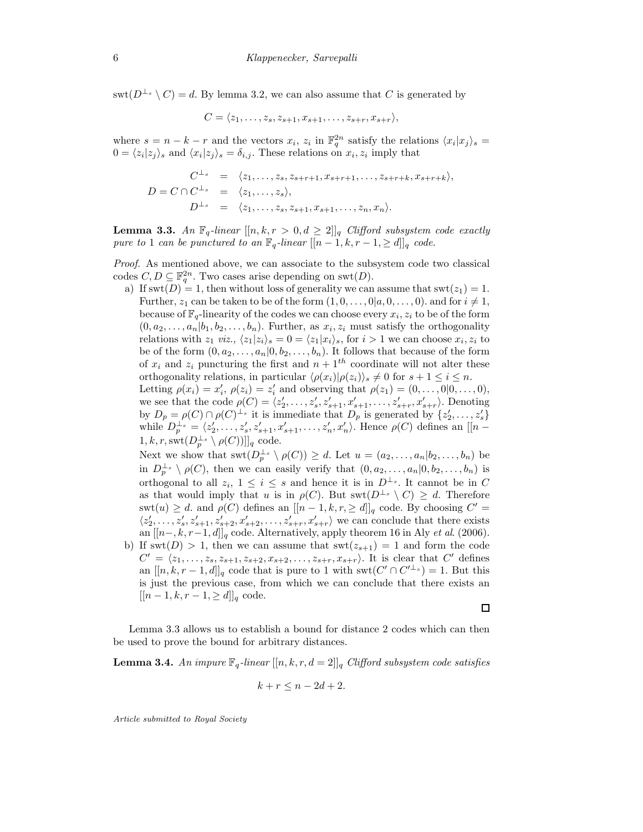$\text{swt}(D^{\perp_s} \setminus C) = d$ . By lemma 3.2, we can also assume that C is generated by

$$
C = \langle z_1, \ldots, z_s, z_{s+1}, x_{s+1}, \ldots, z_{s+r}, x_{s+r} \rangle,
$$

where  $s = n - k - r$  and the vectors  $x_i$ ,  $z_i$  in  $\mathbb{F}_q^{2n}$  satisfy the relations  $\langle x_i | x_j \rangle_s =$  $0 = \langle z_i | z_j \rangle_s$  and  $\langle x_i | z_j \rangle_s = \delta_{i,j}$ . These relations on  $x_i, z_i$  imply that

$$
C^{\perp_s} = \langle z_1, \dots, z_s, z_{s+r+1}, x_{s+r+1}, \dots, z_{s+r+k}, x_{s+r+k} \rangle,
$$
  
\n
$$
D = C \cap C^{\perp_s} = \langle z_1, \dots, z_s \rangle,
$$
  
\n
$$
D^{\perp_s} = \langle z_1, \dots, z_s, z_{s+1}, x_{s+1}, \dots, z_n, x_n \rangle.
$$

**Lemma 3.3.** An  $\mathbb{F}_q$ -linear  $[[n, k, r > 0, d \geq 2]]_q$  Clifford subsystem code exactly pure to 1 can be punctured to an  $\mathbb{F}_q$ -linear  $[[n-1,k,r-1,\geq d]]_q$  code.

Proof. As mentioned above, we can associate to the subsystem code two classical codes  $C, D \subseteq \mathbb{F}_q^{2n}$ . Two cases arise depending on swt $(D)$ .

a) If swt $(D) = 1$ , then without loss of generality we can assume that swt $(z_1) = 1$ . Further,  $z_1$  can be taken to be of the form  $(1, 0, \ldots, 0 | a, 0, \ldots, 0)$ . and for  $i \neq 1$ , because of  $\mathbb{F}_q$ -linearity of the codes we can choose every  $x_i, z_i$  to be of the form  $(0, a_2, \ldots, a_n | b_1, b_2, \ldots, b_n)$ . Further, as  $x_i, z_i$  must satisfy the orthogonality relations with  $z_1$  viz.,  $\langle z_1|z_i\rangle_s = 0 = \langle z_1|x_i\rangle_s$ , for  $i > 1$  we can choose  $x_i, z_i$  to be of the form  $(0, a_2, \ldots, a_n | 0, b_2, \ldots, b_n)$ . It follows that because of the form of  $x_i$  and  $z_i$  puncturing the first and  $n + 1$ <sup>th</sup> coordinate will not alter these orthogonality relations, in particular  $\langle \rho(x_i)|\rho(z_i)\rangle_s \neq 0$  for  $s + 1 \leq i \leq n$ . Letting  $\rho(x_i) = x'_i$ ,  $\rho(z_i) = z'_i$  and observing that  $\rho(z_1) = (0, \ldots, 0 | 0, \ldots, 0)$ , we see that the code  $\rho(C) = \langle z'_2, \ldots, z'_s, z'_{s+1}, x'_{s+1}, \ldots, z'_{s+r}, x'_{s+r} \rangle$ . Denoting by  $D_p = \rho(C) \cap \rho(C)^{\perp_s}$  it is immediate that  $D_p$  is generated by  $\{z'_2, \ldots, z'_s\}$ while  $D_p^{\perp_s} = \langle z_2', \ldots, z_s', z_{s+1}', x_{s+1}', \ldots, z_n', x_n' \rangle$ . Hence  $\rho(C)$  defines an  $[|n - \rangle]$  $[1, k, r, \text{swt}(D_p^{\perp_s} \setminus \rho(C))]_q$  code.

Next we show that  $\text{swt}(D_p^{\perp_s} \setminus \rho(C)) \geq d$ . Let  $u = (a_2, \ldots, a_n | b_2, \ldots, b_n)$  be in  $D_p^{\perp_s} \setminus \rho(C)$ , then we can easily verify that  $(0, a_2, \ldots, a_n | 0, b_2, \ldots, b_n)$  is orthogonal to all  $z_i$ ,  $1 \leq i \leq s$  and hence it is in  $D^{\perp_s}$ . It cannot be in C as that would imply that u is in  $\rho(C)$ . But swt $(D^{\perp_s} \setminus C) \geq d$ . Therefore  $\text{swt}(u) \geq d$ . and  $\rho(C)$  defines an  $[[n-1, k, r, \geq d]]_q$  code. By choosing  $C' =$  $\langle z_2',\ldots,z_s',z_{s+1}',z_{s+2}',x_{s+2}',\ldots,z_{s+r}',x_{s+r}'\rangle$  we can conclude that there exists an  $[[n-,k,r-1,d]]_q$  code. Alternatively, apply theorem 16 in Aly *et al.* (2006).

b) If  $\text{swt}(D) > 1$ , then we can assume that  $\text{swt}(z_{s+1}) = 1$  and form the code  $C' = \langle z_1, \ldots, z_s, z_{s+1}, z_{s+2}, x_{s+2}, \ldots, z_{s+r}, x_{s+r} \rangle$ . It is clear that  $C'$  defines an  $[[n, k, r-1, d]]_q$  code that is pure to 1 with  $\text{swt}(C' \cap C'^{\perp_s}) = 1$ . But this is just the previous case, from which we can conclude that there exists an  $[[n-1,k,r-1,\geq d]]_q$  code.

 $\Box$ 

Lemma 3.3 allows us to establish a bound for distance 2 codes which can then be used to prove the bound for arbitrary distances.

**Lemma 3.4.** An impure  $\mathbb{F}_q$ -linear  $[[n, k, r, d = 2]]_q$  Clifford subsystem code satisfies

$$
k + r \le n - 2d + 2.
$$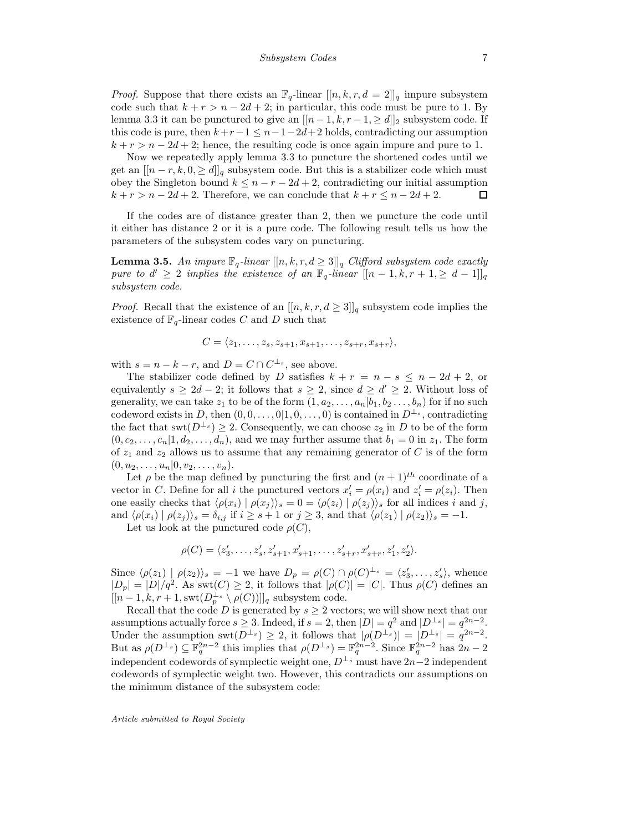*Proof.* Suppose that there exists an  $\mathbb{F}_q$ -linear  $[[n, k, r, d = 2]]_q$  impure subsystem code such that  $k + r > n - 2d + 2$ ; in particular, this code must be pure to 1. By lemma 3.3 it can be punctured to give an  $[[n-1, k, r-1, \ge d]]_2$  subsystem code. If this code is pure, then  $k+r-1 \leq n-1-2d+2$  holds, contradicting our assumption  $k + r > n - 2d + 2$ ; hence, the resulting code is once again impure and pure to 1.

Now we repeatedly apply lemma 3.3 to puncture the shortened codes until we get an  $[[n - r, k, 0, \ge d]]_q$  subsystem code. But this is a stabilizer code which must obey the Singleton bound  $k \leq n-r-2d+2$ , contradicting our initial assumption  $k + r > n - 2d + 2$ . Therefore, we can conclude that  $k + r \leq n - 2d + 2$ .  $\Box$ 

If the codes are of distance greater than 2, then we puncture the code until it either has distance 2 or it is a pure code. The following result tells us how the parameters of the subsystem codes vary on puncturing.

**Lemma 3.5.** An impure  $\mathbb{F}_q$ -linear  $[[n, k, r, d \geq 3]]_q$  Clifford subsystem code exactly pure to  $d' \geq 2$  implies the existence of an  $\mathbb{F}_q$ -linear  $[[n-1,k,r+1,\geq d-1]]_q$ subsystem code.

*Proof.* Recall that the existence of an  $[[n, k, r, d \geq 3]]_q$  subsystem code implies the existence of  $\mathbb{F}_q\text{-linear codes }C$  and  $D$  such that

$$
C = \langle z_1, \ldots, z_s, z_{s+1}, x_{s+1}, \ldots, z_{s+r}, x_{s+r} \rangle,
$$

with  $s = n - k - r$ , and  $D = C \cap C^{\perp_s}$ , see above.

The stabilizer code defined by D satisfies  $k + r = n - s \leq n - 2d + 2$ , or equivalently  $s \geq 2d - 2$ ; it follows that  $s \geq 2$ , since  $d \geq d' \geq 2$ . Without loss of generality, we can take  $z_1$  to be of the form  $(1, a_2, \ldots, a_n | b_1, b_2 \ldots, b_n)$  for if no such codeword exists in D, then  $(0,0,\ldots,0|1,0,\ldots,0)$  is contained in  $D^{\perp_s}$ , contradicting the fact that  $\text{swt}(D^{\perp_s}) \geq 2$ . Consequently, we can choose  $z_2$  in D to be of the form  $(0, c_2, \ldots, c_n | 1, d_2, \ldots, d_n)$ , and we may further assume that  $b_1 = 0$  in  $z_1$ . The form of  $z_1$  and  $z_2$  allows us to assume that any remaining generator of C is of the form  $(0, u_2, \ldots, u_n | 0, v_2, \ldots, v_n).$ 

Let  $\rho$  be the map defined by puncturing the first and  $(n + 1)^{th}$  coordinate of a vector in C. Define for all *i* the punctured vectors  $x'_i = \rho(x_i)$  and  $z'_i = \rho(z_i)$ . Then one easily checks that  $\langle \rho(x_i) | \rho(x_j) \rangle_s = 0 = \langle \rho(z_i) | \rho(z_j) \rangle_s$  for all indices i and j, and  $\langle \rho(x_i) | \rho(z_j) \rangle_s = \delta_{i,j}$  if  $i \geq s+1$  or  $j \geq 3$ , and that  $\langle \rho(z_1) | \rho(z_2) \rangle_s = -1$ .

Let us look at the punctured code  $\rho(C)$ ,

$$
\rho(C) = \langle z'_3, \dots, z'_s, z'_{s+1}, x'_{s+1}, \dots, z'_{s+r}, x'_{s+r}, z'_1, z'_2 \rangle.
$$

Since  $\langle \rho(z_1) | \rho(z_2) \rangle_s = -1$  we have  $D_p = \rho(C) \cap \rho(C)^{\perp_s} = \langle z'_3, \ldots, z'_s \rangle$ , whence  $|D_p| = |D|/q^2$ . As swt $(C) \geq 2$ , it follows that  $|\rho(C)| = |C|$ . Thus  $\rho(C)$  defines an  $[[n-1, k, r+1, \text{swt}(D_p^{\perp_s} \setminus \rho(C))]]_q$  subsystem code.

Recall that the code D is generated by  $s \geq 2$  vectors; we will show next that our assumptions actually force  $s \geq 3$ . Indeed, if  $s = 2$ , then  $|D| = q^2$  and  $|D^{\perp_s}| = q^{2n-2}$ . Under the assumption swt $(D^{\perp_s}) \geq 2$ , it follows that  $|\rho(D^{\perp_s})| = |D^{\perp_s}| = q^{2n-2}$ . But as  $\rho(D^{\perp_s}) \subseteq \mathbb{F}_q^{2n-2}$  this implies that  $\rho(D^{\perp_s}) = \mathbb{F}_q^{2n-2}$ . Since  $\mathbb{F}_q^{2n-2}$  has  $2n-2$ independent codewords of symplectic weight one,  $D^{\perp_s}$  must have  $2n-2$  independent codewords of symplectic weight two. However, this contradicts our assumptions on the minimum distance of the subsystem code: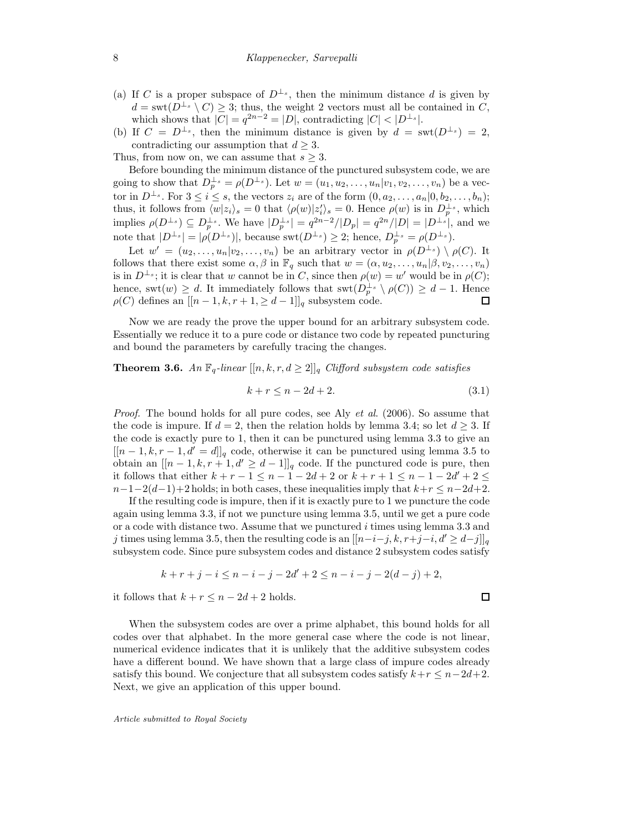- (a) If C is a proper subspace of  $D^{\perp_s}$ , then the minimum distance d is given by  $d = \text{swt}(D^{\perp_s} \setminus C) \geq 3$ ; thus, the weight 2 vectors must all be contained in C, which shows that  $|C| = q^{2n-2} = |D|$ , contradicting  $|C| < |D^{\perp_s}|$ .
- (b) If  $C = D^{\perp_s}$ , then the minimum distance is given by  $d = \text{swt}(D^{\perp_s}) = 2$ , contradicting our assumption that  $d \geq 3$ .

Thus, from now on, we can assume that  $s \geq 3$ .

Before bounding the minimum distance of the punctured subsystem code, we are going to show that  $D_p^{\perp_s} = \rho(D^{\perp_s})$ . Let  $w = (u_1, u_2, \dots, u_n | v_1, v_2, \dots, v_n)$  be a vector in  $D^{\perp_s}$ . For  $3 \le i \le s$ , the vectors  $z_i$  are of the form  $(0, a_2, \ldots, a_n | 0, b_2, \ldots, b_n)$ ; thus, it follows from  $\langle w|z_i\rangle_s = 0$  that  $\langle \rho(w)|z_i'\rangle_s = 0$ . Hence  $\rho(w)$  is in  $D_p^{\perp_s}$ , which implies  $\rho(D^{\perp_s}) \subseteq D_p^{\perp_s}$ . We have  $|D_p^{\perp_s}| = q^{2n-2}/|D_p| = q^{2n}/|D| = |D^{\perp_s}|$ , and we note that  $|D^{\perp_s}| = |\rho(D^{\perp_s})|$ , because swt $(D^{\perp_s}) \geq 2$ ; hence,  $D_p^{\perp_s} = \rho(D^{\perp_s})$ .

Let  $w' = (u_2, \ldots, u_n | v_2, \ldots, v_n)$  be an arbitrary vector in  $\rho(D^{\perp_s}) \setminus \rho(C)$ . It follows that there exist some  $\alpha, \beta$  in  $\mathbb{F}_q$  such that  $w = (\alpha, u_2, \dots, u_n | \beta, v_2, \dots, v_n)$ is in  $D^{\perp_s}$ ; it is clear that w cannot be in C, since then  $\rho(w) = w'$  would be in  $\rho(C)$ ; hence, swt $(w) \geq d$ . It immediately follows that swt $(D_p^{\perp_s} \setminus \rho(C)) \geq d-1$ . Hence  $\rho(C)$  defines an  $[[n-1,k,r+1,\geq d-1]]_q$  subsystem code.  $\Box$ 

Now we are ready the prove the upper bound for an arbitrary subsystem code. Essentially we reduce it to a pure code or distance two code by repeated puncturing and bound the parameters by carefully tracing the changes.

**Theorem 3.6.** An  $\mathbb{F}_q$ -linear  $[[n, k, r, d \geq 2]]_q$  Clifford subsystem code satisfies

$$
k + r \le n - 2d + 2. \tag{3.1}
$$

*Proof.* The bound holds for all pure codes, see Aly *et al.* (2006). So assume that the code is impure. If  $d = 2$ , then the relation holds by lemma 3.4; so let  $d \geq 3$ . If the code is exactly pure to 1, then it can be punctured using lemma 3.3 to give an  $[[n-1, k, r-1, d' = d]]_q$  code, otherwise it can be punctured using lemma 3.5 to obtain an  $[[n-1,k,r+1,d' \geq d-1]]_q$  code. If the punctured code is pure, then it follows that either  $k + r - 1 \leq n - 1 - 2d + 2$  or  $k + r + 1 \leq n - 1 - 2d' + 2 \leq$  $n-1-2(d-1)+2$  holds; in both cases, these inequalities imply that  $k+r \leq n-2d+2$ .

If the resulting code is impure, then if it is exactly pure to 1 we puncture the code again using lemma 3.3, if not we puncture using lemma 3.5, until we get a pure code or a code with distance two. Assume that we punctured i times using lemma 3.3 and j times using lemma 3.5, then the resulting code is an  $[[n-i-j, k, r+j-i, d' \geq d-j]]_q$ subsystem code. Since pure subsystem codes and distance 2 subsystem codes satisfy

$$
k + r + j - i \le n - i - j - 2d' + 2 \le n - i - j - 2(d - j) + 2,
$$

it follows that  $k + r \leq n - 2d + 2$  holds.

When the subsystem codes are over a prime alphabet, this bound holds for all codes over that alphabet. In the more general case where the code is not linear, numerical evidence indicates that it is unlikely that the additive subsystem codes have a different bound. We have shown that a large class of impure codes already satisfy this bound. We conjecture that all subsystem codes satisfy  $k+r \leq n-2d+2$ . Next, we give an application of this upper bound.

Article submitted to Royal Society

 $\Box$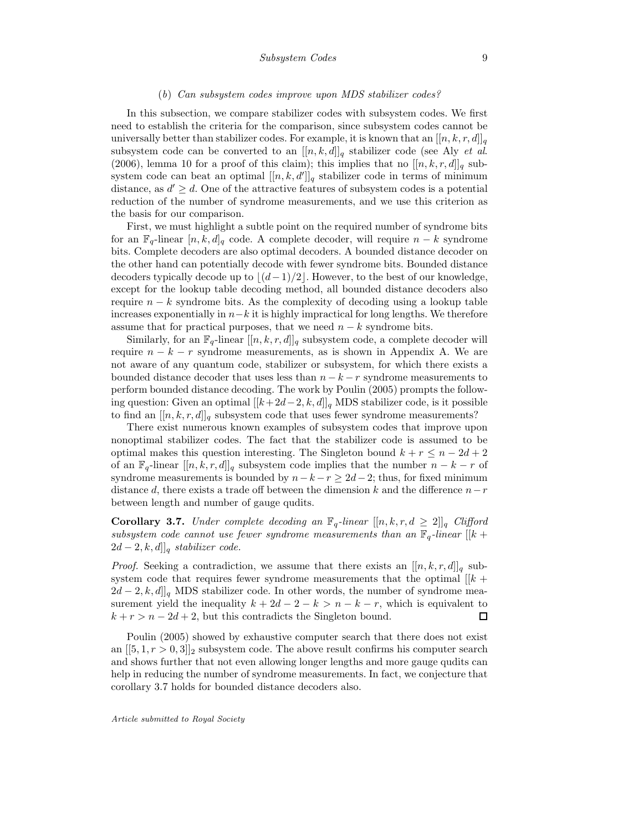#### (b) Can subsystem codes improve upon MDS stabilizer codes?

In this subsection, we compare stabilizer codes with subsystem codes. We first need to establish the criteria for the comparison, since subsystem codes cannot be universally better than stabilizer codes. For example, it is known that an  $[[n, k, r, d]]_q$ subsystem code can be converted to an  $[[n, k, d]]_q$  stabilizer code (see Aly *et al.*) (2006), lemma 10 for a proof of this claim); this implies that no  $[[n, k, r, d]]_q$  subsystem code can beat an optimal  $[[n, k, d$ <sup>n</sup> $]_q$  stabilizer code in terms of minimum distance, as  $d' \geq d$ . One of the attractive features of subsystem codes is a potential reduction of the number of syndrome measurements, and we use this criterion as the basis for our comparison.

First, we must highlight a subtle point on the required number of syndrome bits for an  $\mathbb{F}_q$ -linear  $[n, k, d]_q$  code. A complete decoder, will require  $n - k$  syndrome bits. Complete decoders are also optimal decoders. A bounded distance decoder on the other hand can potentially decode with fewer syndrome bits. Bounded distance decoders typically decode up to  $\lfloor (d-1)/2 \rfloor$ . However, to the best of our knowledge, except for the lookup table decoding method, all bounded distance decoders also require  $n - k$  syndrome bits. As the complexity of decoding using a lookup table increases exponentially in  $n-k$  it is highly impractical for long lengths. We therefore assume that for practical purposes, that we need  $n - k$  syndrome bits.

Similarly, for an  $\mathbb{F}_q$ -linear  $[[n, k, r, d]]_q$  subsystem code, a complete decoder will require  $n - k - r$  syndrome measurements, as is shown in Appendix A. We are not aware of any quantum code, stabilizer or subsystem, for which there exists a bounded distance decoder that uses less than  $n - k - r$  syndrome measurements to perform bounded distance decoding. The work by Poulin (2005) prompts the following question: Given an optimal  $[[k+2d-2, k, d]]_q$  MDS stabilizer code, is it possible to find an  $[[n, k, r, d]]_q$  subsystem code that uses fewer syndrome measurements?

There exist numerous known examples of subsystem codes that improve upon nonoptimal stabilizer codes. The fact that the stabilizer code is assumed to be optimal makes this question interesting. The Singleton bound  $k + r \leq n - 2d + 2$ of an  $\mathbb{F}_q$ -linear  $[[n, k, r, d]]_q$  subsystem code implies that the number  $n - k - r$  of syndrome measurements is bounded by  $n-k-r \geq 2d-2$ ; thus, for fixed minimum distance d, there exists a trade off between the dimension k and the difference  $n-r$ between length and number of gauge qudits.

**Corollary 3.7.** Under complete decoding an  $\mathbb{F}_q$ -linear  $[[n, k, r, d \geq 2]]_q$  Clifford subsystem code cannot use fewer syndrome measurements than an  $\mathbb{F}_q$ -linear  $[[k +$  $[2d-2, k, d]]_q$  stabilizer code.

*Proof.* Seeking a contradiction, we assume that there exists an  $[[n, k, r, d]]_q$  subsystem code that requires fewer syndrome measurements that the optimal  $||k + \rangle$  $2d-2, k, d$ <sub>l</sub> MDS stabilizer code. In other words, the number of syndrome measurement yield the inequality  $k + 2d - 2 - k > n - k - r$ , which is equivalent to  $k + r > n - 2d + 2$ , but this contradicts the Singleton bound.  $\Box$ 

Poulin (2005) showed by exhaustive computer search that there does not exist an  $[[5, 1, r > 0, 3]]_2$  subsystem code. The above result confirms his computer search and shows further that not even allowing longer lengths and more gauge qudits can help in reducing the number of syndrome measurements. In fact, we conjecture that corollary 3.7 holds for bounded distance decoders also.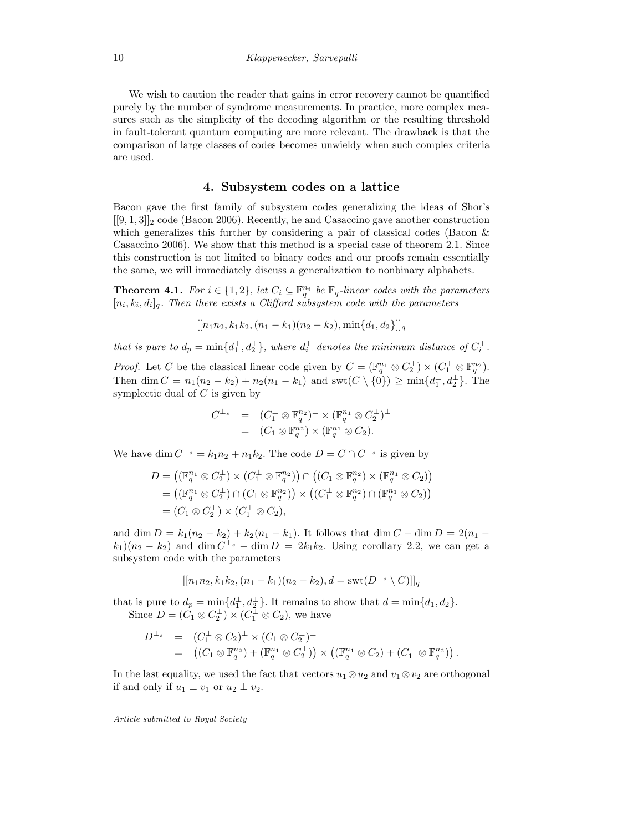We wish to caution the reader that gains in error recovery cannot be quantified purely by the number of syndrome measurements. In practice, more complex measures such as the simplicity of the decoding algorithm or the resulting threshold in fault-tolerant quantum computing are more relevant. The drawback is that the comparison of large classes of codes becomes unwieldy when such complex criteria are used.

#### 4. Subsystem codes on a lattice

Bacon gave the first family of subsystem codes generalizing the ideas of Shor's  $[[9,1,3]]_2$  code (Bacon 2006). Recently, he and Casaccino gave another construction which generalizes this further by considering a pair of classical codes (Bacon & Casaccino 2006). We show that this method is a special case of theorem 2.1. Since this construction is not limited to binary codes and our proofs remain essentially the same, we will immediately discuss a generalization to nonbinary alphabets.

**Theorem 4.1.** For  $i \in \{1,2\}$ , let  $C_i \subseteq \mathbb{F}_q^{n_i}$  be  $\mathbb{F}_q$ -linear codes with the parameters  $[n_i, k_i, d_i]_q$ . Then there exists a Clifford subsystem code with the parameters

$$
[[n_1n_2, k_1k_2, (n_1 - k_1)(n_2 - k_2), \min\{d_1, d_2\}]]_q
$$

that is pure to  $d_p = \min\{d_1^{\perp}, d_2^{\perp}\}\$ , where  $d_i^{\perp}$  denotes the minimum distance of  $C_i^{\perp}$ .

*Proof.* Let C be the classical linear code given by  $C = (\mathbb{F}_q^{n_1} \otimes C_2^{\perp}) \times (C_1^{\perp} \otimes \mathbb{F}_q^{n_2})$ . Then dim  $C = n_1(n_2 - k_2) + n_2(n_1 - k_1)$  and swt $(C \setminus \{0\}) \ge \min\{d_1^{\perp}, d_2^{\perp}\}\.$  The symplectic dual of  $C$  is given by

$$
C^{\perp_s} = (C_1^{\perp} \otimes \mathbb{F}_q^{n_2})^{\perp} \times (\mathbb{F}_q^{n_1} \otimes C_2^{\perp})^{\perp}
$$
  
= 
$$
(C_1 \otimes \mathbb{F}_q^{n_2}) \times (\mathbb{F}_q^{n_1} \otimes C_2).
$$

We have dim  $C^{\perp_s} = k_1 n_2 + n_1 k_2$ . The code  $D = C \cap C^{\perp_s}$  is given by

$$
D = ((\mathbb{F}_q^{n_1} \otimes C_2^{\perp}) \times (C_1^{\perp} \otimes \mathbb{F}_q^{n_2})) \cap ((C_1 \otimes \mathbb{F}_q^{n_2}) \times (\mathbb{F}_q^{n_1} \otimes C_2))
$$
  
= ((\mathbb{F}\_q^{n\_1} \otimes C\_2^{\perp}) \cap (C\_1 \otimes \mathbb{F}\_q^{n\_2})) \times ((C\_1^{\perp} \otimes \mathbb{F}\_q^{n\_2}) \cap (\mathbb{F}\_q^{n\_1} \otimes C\_2))  
= (C\_1 \otimes C\_2^{\perp}) \times (C\_1^{\perp} \otimes C\_2),

and dim  $D = k_1(n_2 - k_2) + k_2(n_1 - k_1)$ . It follows that dim  $C - \dim D = 2(n_1 - k_2)$  $(k_1)(n_2 - k_2)$  and  $\dim C^{\perp_s} - \dim D = 2k_1k_2$ . Using corollary 2.2, we can get a subsystem code with the parameters

$$
[[n_1n_2, k_1k_2, (n_1 - k_1)(n_2 - k_2), d = \text{swt}(D^{\perp_s} \setminus C)]]_q
$$

that is pure to  $d_p = \min\{d_1^{\perp}, d_2^{\perp}\}\.$  It remains to show that  $d = \min\{d_1, d_2\}.$ Since  $D = (C_1 \otimes C_2^{\perp}) \times (C_1^{\perp} \otimes C_2)$ , we have

$$
D^{\perp_s} = (C_1^{\perp} \otimes C_2)^{\perp} \times (C_1 \otimes C_2^{\perp})^{\perp}
$$
  
= 
$$
((C_1 \otimes \mathbb{F}_q^{n_2}) + (\mathbb{F}_q^{n_1} \otimes C_2^{\perp})) \times ((\mathbb{F}_q^{n_1} \otimes C_2) + (C_1^{\perp} \otimes \mathbb{F}_q^{n_2})).
$$

In the last equality, we used the fact that vectors  $u_1 \otimes u_2$  and  $v_1 \otimes v_2$  are orthogonal if and only if  $u_1 \perp v_1$  or  $u_2 \perp v_2$ .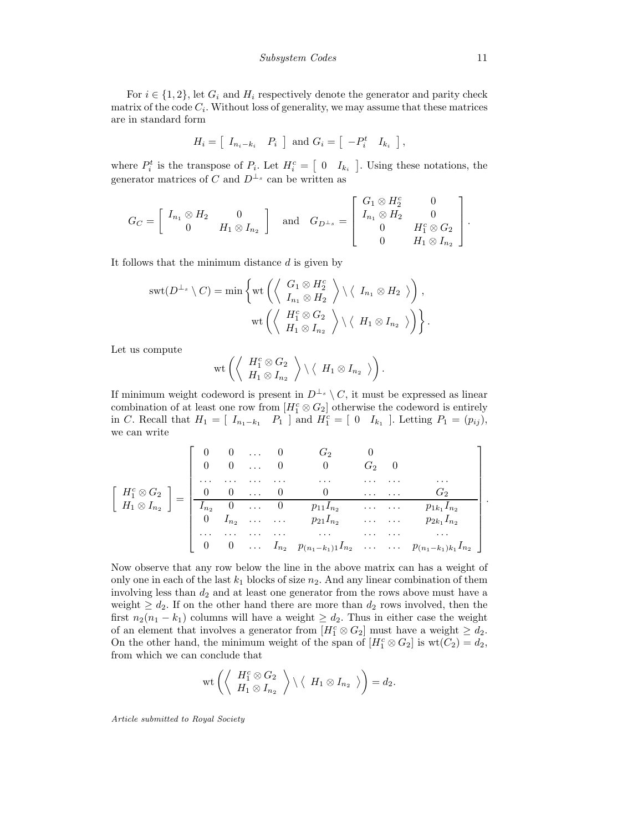For  $i \in \{1,2\}$ , let  $G_i$  and  $H_i$  respectively denote the generator and parity check matrix of the code  $C_i$ . Without loss of generality, we may assume that these matrices are in standard form

$$
H_i = \left[ \begin{array}{cc} I_{n_i - k_i} & P_i \end{array} \right] \text{ and } G_i = \left[ \begin{array}{cc} -P_i^t & I_{k_i} \end{array} \right],
$$

where  $P_i^t$  is the transpose of  $P_i$ . Let  $H_i^c = \begin{bmatrix} 0 & I_{k_i} \end{bmatrix}$ . Using these notations, the generator matrices of C and  $D^{\perp_s}$  can be written as

$$
G_C = \begin{bmatrix} I_{n_1} \otimes H_2 & 0 \\ 0 & H_1 \otimes I_{n_2} \end{bmatrix} \text{ and } G_{D^{\perp_s}} = \begin{bmatrix} G_1 \otimes H_2^c & 0 \\ I_{n_1} \otimes H_2 & 0 \\ 0 & H_1^c \otimes G_2 \\ 0 & H_1 \otimes I_{n_2} \end{bmatrix}.
$$

It follows that the minimum distance  $d$  is given by

$$
swt(D^{\perp_{s}}\setminus C)=\min\left\{\text{wt}\left(\left\langle\begin{array}{c}G_{1}\otimes H_{2}^{c}\\I_{n_{1}}\otimes H_{2}\end{array}\right\rangle\setminus\left\langle\begin{array}{c}I_{n_{1}}\otimes H_{2}\end{array}\right\rangle\right),\right.\\ \text{wt}\left(\left\langle\begin{array}{c}H_{1}^{c}\otimes G_{2}\\H_{1}\otimes I_{n_{2}}\end{array}\right\rangle\setminus\left\langle\begin{array}{c}H_{1}\otimes I_{n_{2}}\end{array}\right\rangle\right)\right\}.
$$

Let us compute

$$
\text{wt}\left(\left\langle \begin{array}{c} H_1^c\otimes G_2\\ H_1\otimes I_{n_2} \end{array} \right\rangle\setminus \left\langle \begin{array}{c} H_1\otimes I_{n_2} \end{array} \right\rangle\right).
$$

If minimum weight codeword is present in  $D^{\perp_s} \setminus C$ , it must be expressed as linear combination of at least one row from  $[H_1^c \otimes G_2]$  otherwise the codeword is entirely in C. Recall that  $H_1 = [I_{n_1-k_1} \quad P_1]$  and  $H_1^c = [0 \quad I_{k_1}]$ . Letting  $P_1 = (p_{ij}),$ we can write

$$
\begin{bmatrix}\nH_1^c \otimes G_2 \\
H_1 \otimes I_{n_2}\n\end{bmatrix} = \begin{bmatrix}\n0 & 0 & \dots & 0 & G_2 & 0 \\
0 & 0 & \dots & 0 & 0 & G_2 & 0 \\
\vdots & \vdots & \ddots & \vdots & \ddots & \vdots \\
0 & 0 & \dots & 0 & 0 & \dots & G_2 \\
\hline\nI_{n_2} & 0 & \dots & 0 & p_{11}I_{n_2} & \dots & \dots & p_{1k_1}I_{n_2} \\
0 & I_{n_2} & \dots & \dots & p_{21}I_{n_2} & \dots & \dots & p_{2k_1}I_{n_2} \\
\vdots & \vdots & \vdots & \ddots & \vdots & \vdots & \vdots \\
0 & 0 & \dots & I_{n_2} & p_{(n_1-k_1)1}I_{n_2} & \dots & \dots & p_{(n_1-k_1)k_1}I_{n_2}\n\end{bmatrix}
$$

Now observe that any row below the line in the above matrix can has a weight of only one in each of the last  $k_1$  blocks of size  $n_2$ . And any linear combination of them involving less than  $d_2$  and at least one generator from the rows above must have a weight  $\geq d_2$ . If on the other hand there are more than  $d_2$  rows involved, then the first  $n_2(n_1 - k_1)$  columns will have a weight  $\geq d_2$ . Thus in either case the weight of an element that involves a generator from  $[H_1^c \otimes G_2]$  must have a weight  $\geq d_2$ . On the other hand, the minimum weight of the span of  $[H_1^c \otimes G_2]$  is  $wt(C_2) = d_2$ , from which we can conclude that

$$
\rm{wt}\left(\left\langle\begin{array}{c}H_1^c\otimes G_2\\H_1\otimes I_{n_2}\end{array}\right\rangle\setminus\left\langle\begin{array}{c}H_1\otimes I_{n_2}\end{array}\right\rangle\right)=d_2.
$$

Article submitted to Royal Society

.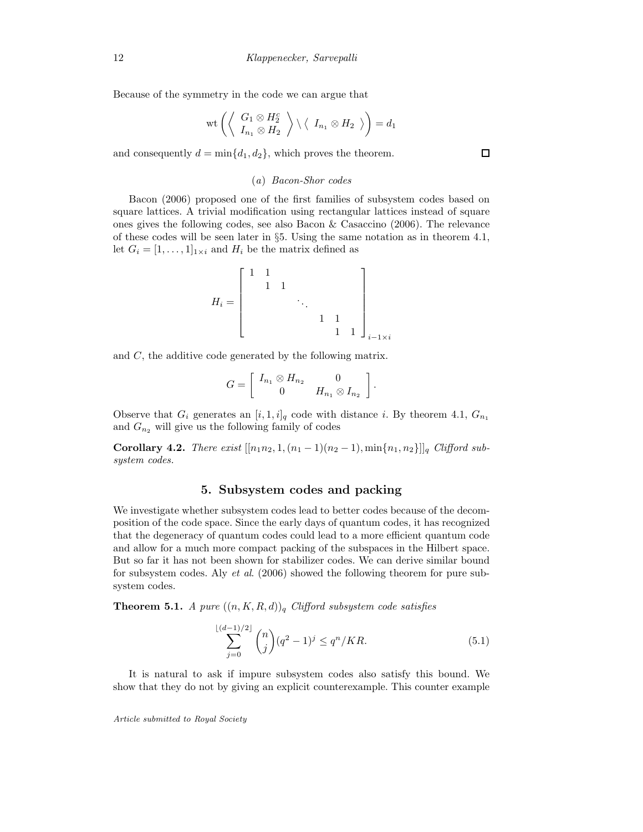Because of the symmetry in the code we can argue that

$$
\mathrm{wt}\left(\left\langle\begin{array}{c}G_1\otimes H_2^c\\ I_{n_1}\otimes H_2\end{array}\right\rangle\setminus\langle\begin{array}{c}I_{n_1}\otimes H_2\end{array}\rangle\right)=d_1
$$

and consequently  $d = \min\{d_1, d_2\}$ , which proves the theorem.

## (a) Bacon-Shor codes

Bacon (2006) proposed one of the first families of subsystem codes based on square lattices. A trivial modification using rectangular lattices instead of square ones gives the following codes, see also Bacon & Casaccino (2006). The relevance of these codes will be seen later in §5. Using the same notation as in theorem 4.1, let  $G_i = [1, \ldots, 1]_{1 \times i}$  and  $H_i$  be the matrix defined as

$$
H_i=\left[\begin{array}{cccc}1&1&&&&&\\&1&1&&&&\\&&\ddots&&&\\&&&1&1&\\&&&&1&1\\&&&&&1&1\end{array}\right]_{i-1\times i}
$$

and C, the additive code generated by the following matrix.

$$
G=\left[\begin{array}{cc} I_{n_1}\otimes H_{n_2} & 0 \\ 0 & H_{n_1}\otimes I_{n_2} \end{array}\right].
$$

Observe that  $G_i$  generates an  $[i, 1, i]_q$  code with distance i. By theorem 4.1,  $G_{n_1}$ and  $G_{n_2}$  will give us the following family of codes

Corollary 4.2. There exist  $[[n_1n_2, 1, (n_1 - 1)(n_2 - 1), \min\{n_1, n_2\}]]_q$  Clifford subsystem codes.

## 5. Subsystem codes and packing

We investigate whether subsystem codes lead to better codes because of the decomposition of the code space. Since the early days of quantum codes, it has recognized that the degeneracy of quantum codes could lead to a more efficient quantum code and allow for a much more compact packing of the subspaces in the Hilbert space. But so far it has not been shown for stabilizer codes. We can derive similar bound for subsystem codes. Aly et al. (2006) showed the following theorem for pure subsystem codes.

**Theorem 5.1.** A pure  $((n, K, R, d))_q$  Clifford subsystem code satisfies

$$
\sum_{j=0}^{\lfloor (d-1)/2 \rfloor} \binom{n}{j} (q^2 - 1)^j \le q^n / KR. \tag{5.1}
$$

It is natural to ask if impure subsystem codes also satisfy this bound. We show that they do not by giving an explicit counterexample. This counter example

Article submitted to Royal Society

 $\Box$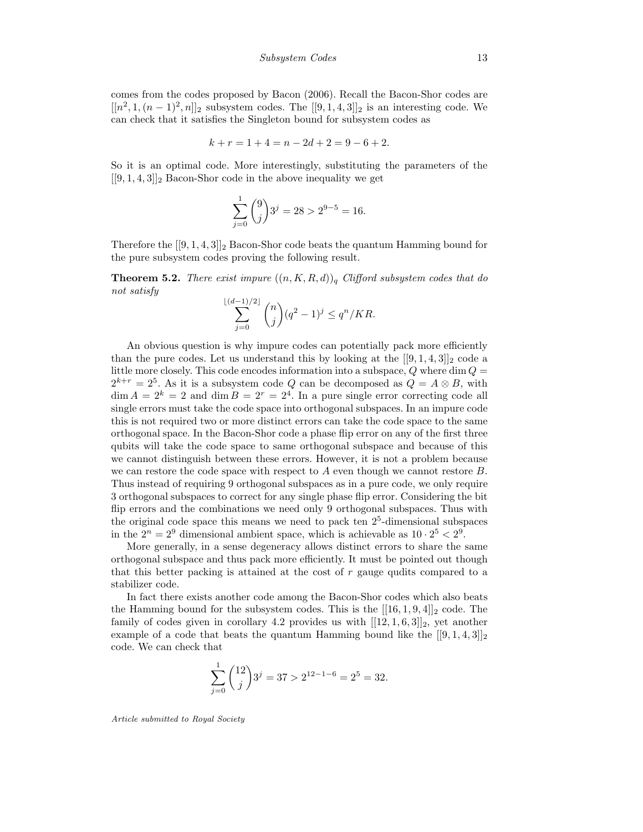comes from the codes proposed by Bacon (2006). Recall the Bacon-Shor codes are  $[[n^2, 1, (n-1)^2, n]]_2$  subsystem codes. The  $[[9, 1, 4, 3]]_2$  is an interesting code. We can check that it satisfies the Singleton bound for subsystem codes as

$$
k + r = 1 + 4 = n - 2d + 2 = 9 - 6 + 2.
$$

So it is an optimal code. More interestingly, substituting the parameters of the  $[[9, 1, 4, 3]]_2$  Bacon-Shor code in the above inequality we get

$$
\sum_{j=0}^{1} \binom{9}{j} 3^j = 28 > 2^{9-5} = 16.
$$

Therefore the  $[[9, 1, 4, 3]]_2$  Bacon-Shor code beats the quantum Hamming bound for the pure subsystem codes proving the following result.

**Theorem 5.2.** There exist impure  $((n, K, R, d))_q$  Clifford subsystem codes that do not satisfy

$$
\sum_{j=0}^{\lfloor (d-1)/2 \rfloor} \binom{n}{j} (q^2 - 1)^j \le q^n / KR.
$$

An obvious question is why impure codes can potentially pack more efficiently than the pure codes. Let us understand this by looking at the  $[[9,1,4,3]]_2$  code a little more closely. This code encodes information into a subspace,  $Q$  where dim  $Q =$  $2^{k+r} = 2^5$ . As it is a subsystem code Q can be decomposed as  $Q = A \otimes B$ , with  $\dim A = 2^k = 2$  and  $\dim B = 2^r = 2^4$ . In a pure single error correcting code all single errors must take the code space into orthogonal subspaces. In an impure code this is not required two or more distinct errors can take the code space to the same orthogonal space. In the Bacon-Shor code a phase flip error on any of the first three qubits will take the code space to same orthogonal subspace and because of this we cannot distinguish between these errors. However, it is not a problem because we can restore the code space with respect to  $A$  even though we cannot restore  $B$ . Thus instead of requiring 9 orthogonal subspaces as in a pure code, we only require 3 orthogonal subspaces to correct for any single phase flip error. Considering the bit flip errors and the combinations we need only 9 orthogonal subspaces. Thus with the original code space this means we need to pack ten  $2<sup>5</sup>$ -dimensional subspaces in the  $2^n = 2^9$  dimensional ambient space, which is achievable as  $10 \cdot 2^5 < 2^9$ .

More generally, in a sense degeneracy allows distinct errors to share the same orthogonal subspace and thus pack more efficiently. It must be pointed out though that this better packing is attained at the cost of  $r$  gauge qudits compared to a stabilizer code.

In fact there exists another code among the Bacon-Shor codes which also beats the Hamming bound for the subsystem codes. This is the  $[[16, 1, 9, 4]]_2$  code. The family of codes given in corollary 4.2 provides us with  $[[12, 1, 6, 3]]_2$ , yet another example of a code that beats the quantum Hamming bound like the  $[[9,1,4,3]]_2$ code. We can check that

$$
\sum_{j=0}^{1} {12 \choose j} 3^j = 37 > 2^{12-1-6} = 2^5 = 32.
$$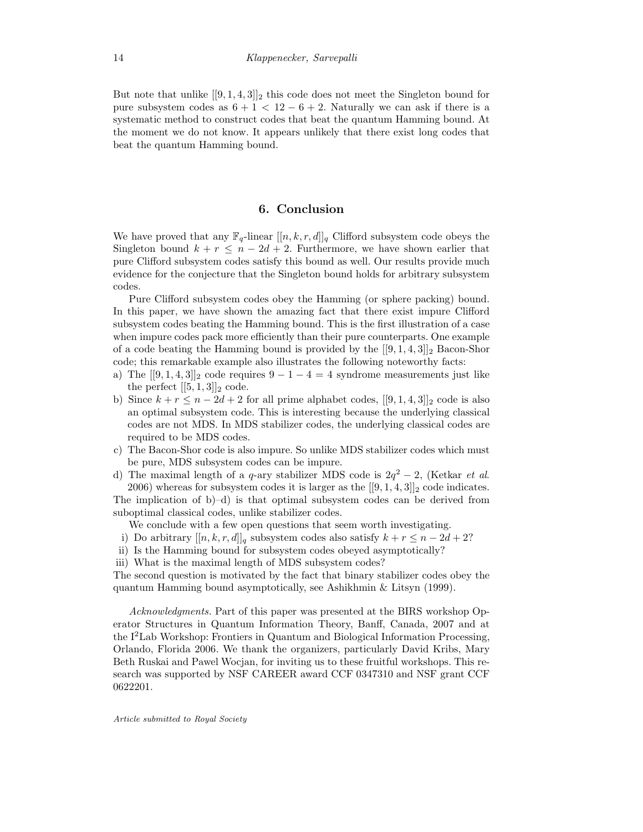But note that unlike  $[[9,1,4,3]]_2$  this code does not meet the Singleton bound for pure subsystem codes as  $6 + 1 < 12 - 6 + 2$ . Naturally we can ask if there is a systematic method to construct codes that beat the quantum Hamming bound. At the moment we do not know. It appears unlikely that there exist long codes that beat the quantum Hamming bound.

# 6. Conclusion

We have proved that any  $\mathbb{F}_q$ -linear  $[[n, k, r, d]]_q$  Clifford subsystem code obeys the Singleton bound  $k + r \leq n - 2d + 2$ . Furthermore, we have shown earlier that pure Clifford subsystem codes satisfy this bound as well. Our results provide much evidence for the conjecture that the Singleton bound holds for arbitrary subsystem codes.

Pure Clifford subsystem codes obey the Hamming (or sphere packing) bound. In this paper, we have shown the amazing fact that there exist impure Clifford subsystem codes beating the Hamming bound. This is the first illustration of a case when impure codes pack more efficiently than their pure counterparts. One example of a code beating the Hamming bound is provided by the  $[[9, 1, 4, 3]]_2$  Bacon-Shor code; this remarkable example also illustrates the following noteworthy facts:

- a) The  $[[9,1,4,3]]_2$  code requires  $9-1-4=4$  syndrome measurements just like the perfect  $[[5,1,3]]_2$  code.
- b) Since  $k + r \leq n 2d + 2$  for all prime alphabet codes,  $[[9, 1, 4, 3]]_2$  code is also an optimal subsystem code. This is interesting because the underlying classical codes are not MDS. In MDS stabilizer codes, the underlying classical codes are required to be MDS codes.
- c) The Bacon-Shor code is also impure. So unlike MDS stabilizer codes which must be pure, MDS subsystem codes can be impure.
- d) The maximal length of a q-ary stabilizer MDS code is  $2q^2 2$ , (Ketkar *et al.*) 2006) whereas for subsystem codes it is larger as the  $[[9,1,4,3]]_2$  code indicates.

The implication of b)–d) is that optimal subsystem codes can be derived from suboptimal classical codes, unlike stabilizer codes.

We conclude with a few open questions that seem worth investigating.

- i) Do arbitrary  $[[n, k, r, d]]_q$  subsystem codes also satisfy  $k + r \leq n 2d + 2$ ?
- ii) Is the Hamming bound for subsystem codes obeyed asymptotically?
- iii) What is the maximal length of MDS subsystem codes?

The second question is motivated by the fact that binary stabilizer codes obey the quantum Hamming bound asymptotically, see Ashikhmin & Litsyn (1999).

Acknowledgments. Part of this paper was presented at the BIRS workshop Operator Structures in Quantum Information Theory, Banff, Canada, 2007 and at the I<sup>2</sup>Lab Workshop: Frontiers in Quantum and Biological Information Processing, Orlando, Florida 2006. We thank the organizers, particularly David Kribs, Mary Beth Ruskai and Pawel Wocjan, for inviting us to these fruitful workshops. This research was supported by NSF CAREER award CCF 0347310 and NSF grant CCF 0622201.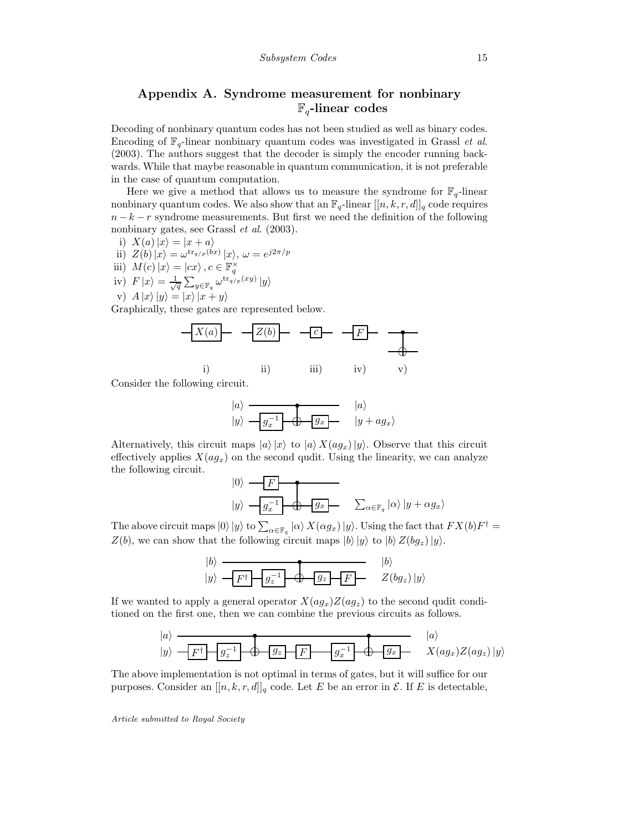# Appendix A. Syndrome measurement for nonbinary  $\mathbb{F}_q$ -linear codes

Decoding of nonbinary quantum codes has not been studied as well as binary codes. Encoding of  $\mathbb{F}_q$ -linear nonbinary quantum codes was investigated in Grassl *et al.* (2003). The authors suggest that the decoder is simply the encoder running backwards. While that maybe reasonable in quantum communication, it is not preferable in the case of quantum computation.

Here we give a method that allows us to measure the syndrome for  $\mathbb{F}_q$ -linear nonbinary quantum codes. We also show that an  $\mathbb{F}_q$ -linear  $[[n, k, r, d]]_q$  code requires  $n - k - r$  syndrome measurements. But first we need the definition of the following nonbinary gates, see Grassl *et al.* (2003).

i) 
$$
X(a)|x\rangle = |x+a\rangle
$$

ii)  $Z(b) \ket{x} = \omega^{\text{tr}_{q/p}(bx)} \ket{x}, \omega = e^{j2\pi/p}$ 

iii) 
$$
M(c) |x\rangle = |cx\rangle, c \in \mathbb{F}_q^{\times}
$$

iv)  $F|x\rangle = \frac{1}{\sqrt{q}} \sum_{y \in \mathbb{F}_q} \omega^{\text{tr}_{q/p}(xy)} |y\rangle$ v)  $A |x\rangle |y\rangle = |x\rangle |x + y\rangle$ 

Graphically, these gates are represented below.



Consider the following circuit.

$$
|a\rangle \longrightarrow |a\rangle
$$
  

$$
|y\rangle \longrightarrow |g_x^{-1}| \longrightarrow |g_x|
$$
  

$$
|y + ag_x\rangle
$$

Alternatively, this circuit maps  $|a\rangle |x\rangle$  to  $|a\rangle X(ag_x)|y\rangle$ . Observe that this circuit effectively applies  $X(aq_x)$  on the second qudit. Using the linearity, we can analyze the following circuit.

$$
|0\rangle \longrightarrow F
$$
  

$$
|y\rangle \longrightarrow \boxed{g_x^{-1}} \longrightarrow \boxed{g_x}
$$
  

$$
\sum_{\alpha \in \mathbb{F}_q} |\alpha\rangle |y + \alpha g_x\rangle
$$

The above circuit maps  $|0\rangle |y\rangle$  to  $\sum_{\alpha \in \mathbb{F}_q} |\alpha\rangle X(\alpha g_x) |y\rangle$ . Using the fact that  $FX(b)F^{\dagger} =$  $Z(b)$ , we can show that the following circuit maps  $|b\rangle |y\rangle$  to  $|b\rangle Z(bg_z)|y\rangle$ .

$$
|b\rangle
$$
  

$$
|y\rangle
$$
  

$$
-F^{\dagger}
$$
  

$$
g_z^{-1}
$$
  

$$
g_z
$$
  

$$
F
$$
  

$$
Z(bg_z)|y\rangle
$$

If we wanted to apply a general operator  $X(ag_x)Z(ag_z)$  to the second qudit conditioned on the first one, then we can combine the previous circuits as follows.

$$
|a\rangle
$$
  

$$
|y\rangle
$$
  

$$
-F^{\dagger}
$$
  

$$
g_z^{-1}
$$
  

$$
g_z
$$
  

$$
F
$$
  

$$
g_x^{-1}
$$
  

$$
g_x^{-1}
$$
  

$$
g_x
$$
  

$$
g_x
$$
  

$$
g_x
$$
  

$$
Z(ag_x)Z(ag_z)|y\rangle
$$

The above implementation is not optimal in terms of gates, but it will suffice for our purposes. Consider an  $[[n, k, r, d]]_q$  code. Let E be an error in  $\mathcal{E}$ . If E is detectable,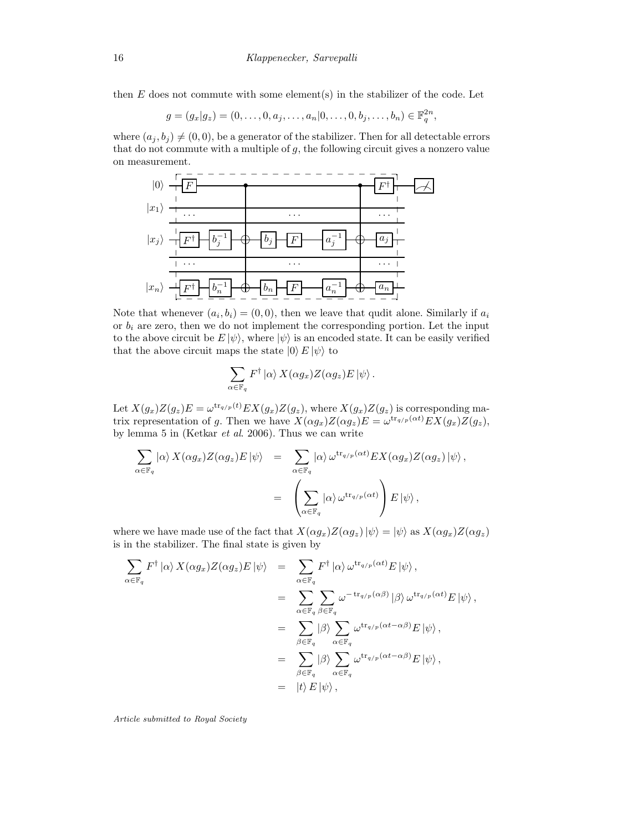then  $E$  does not commute with some element(s) in the stabilizer of the code. Let

$$
g = (g_x | g_z) = (0, \dots, 0, a_j, \dots, a_n | 0, \dots, 0, b_j, \dots, b_n) \in \mathbb{F}_q^{2n},
$$

where  $(a_j, b_j) \neq (0, 0)$ , be a generator of the stabilizer. Then for all detectable errors that do not commute with a multiple of  $g$ , the following circuit gives a nonzero value on measurement.



Note that whenever  $(a_i, b_i) = (0, 0)$ , then we leave that qudit alone. Similarly if  $a_i$ or  $b_i$  are zero, then we do not implement the corresponding portion. Let the input to the above circuit be  $E |\psi\rangle$ , where  $|\psi\rangle$  is an encoded state. It can be easily verified that the above circuit maps the state  $|0\rangle E |\psi\rangle$  to

$$
\sum_{\alpha \in \mathbb{F}_q} F^{\dagger} \left| \alpha \right\rangle X(\alpha g_x) Z(\alpha g_z) E \left| \psi \right\rangle.
$$

Let  $X(g_x)Z(g_z)E = \omega^{\text{tr}_{q/p}(t)}EX(g_x)Z(g_z)$ , where  $X(g_x)Z(g_z)$  is corresponding matrix representation of g. Then we have  $X(\alpha g_x)Z(\alpha g_z)E = \omega^{\text{tr}_{q/p}(\alpha t)}EX(g_x)Z(g_z)$ , by lemma 5 in (Ketkar et al. 2006). Thus we can write

$$
\sum_{\alpha \in \mathbb{F}_q} |\alpha \rangle X(\alpha g_x) Z(\alpha g_z) E |\psi\rangle = \sum_{\alpha \in \mathbb{F}_q} |\alpha \rangle \omega^{\text{tr}_{q/p}(\alpha t)} E X(\alpha g_x) Z(\alpha g_z) |\psi\rangle,
$$
  

$$
= \left( \sum_{\alpha \in \mathbb{F}_q} |\alpha \rangle \omega^{\text{tr}_{q/p}(\alpha t)} \right) E |\psi\rangle,
$$

where we have made use of the fact that  $X(\alpha g_x)Z(\alpha g_z)|\psi\rangle = |\psi\rangle$  as  $X(\alpha g_x)Z(\alpha g_z)$ is in the stabilizer. The final state is given by

$$
\sum_{\alpha \in \mathbb{F}_q} F^{\dagger} |\alpha \rangle X(\alpha g_x) Z(\alpha g_z) E |\psi\rangle = \sum_{\alpha \in \mathbb{F}_q} F^{\dagger} |\alpha \rangle \omega^{\text{tr}_{q/p}(\alpha t)} E |\psi\rangle,
$$
  
\n
$$
= \sum_{\alpha \in \mathbb{F}_q} \sum_{\beta \in \mathbb{F}_q} \omega^{-\text{tr}_{q/p}(\alpha \beta)} |\beta \rangle \omega^{\text{tr}_{q/p}(\alpha t)} E |\psi\rangle,
$$
  
\n
$$
= \sum_{\beta \in \mathbb{F}_q} |\beta \rangle \sum_{\alpha \in \mathbb{F}_q} \omega^{\text{tr}_{q/p}(\alpha t - \alpha \beta)} E |\psi\rangle,
$$
  
\n
$$
= \sum_{\beta \in \mathbb{F}_q} |\beta \rangle \sum_{\alpha \in \mathbb{F}_q} \omega^{\text{tr}_{q/p}(\alpha t - \alpha \beta)} E |\psi\rangle,
$$
  
\n
$$
= |t\rangle E |\psi\rangle,
$$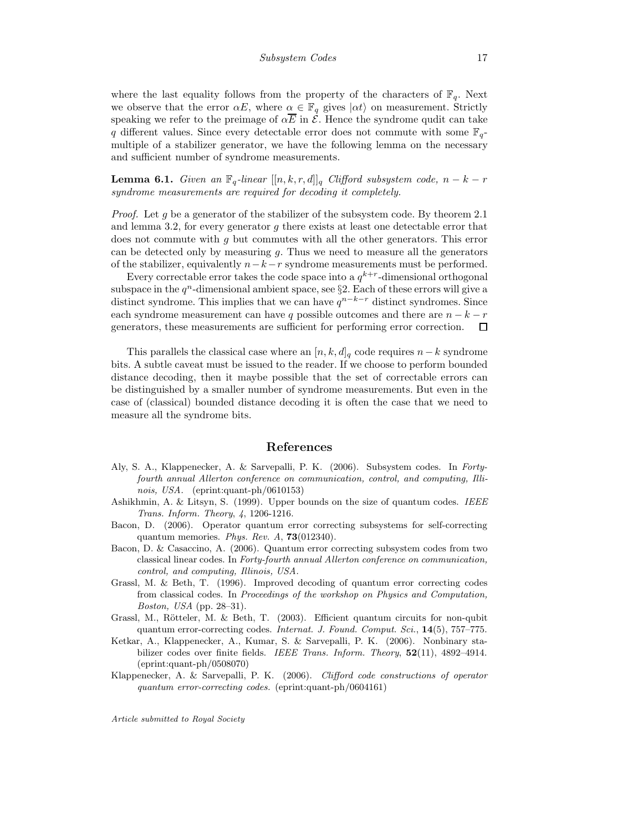where the last equality follows from the property of the characters of  $\mathbb{F}_q$ . Next we observe that the error  $\alpha E$ , where  $\alpha \in \mathbb{F}_q$  gives  $|\alpha t\rangle$  on measurement. Strictly speaking we refer to the preimage of  $\alpha \overline{E}$  in  $\mathcal{E}$ . Hence the syndrome qudit can take q different values. Since every detectable error does not commute with some  $\mathbb{F}_{q}$ multiple of a stabilizer generator, we have the following lemma on the necessary and sufficient number of syndrome measurements.

**Lemma 6.1.** Given an  $\mathbb{F}_q$ -linear  $[[n, k, r, d]]_q$  Clifford subsystem code,  $n - k - r$ syndrome measurements are required for decoding it completely.

*Proof.* Let g be a generator of the stabilizer of the subsystem code. By theorem 2.1 and lemma 3.2, for every generator g there exists at least one detectable error that does not commute with g but commutes with all the other generators. This error can be detected only by measuring  $q$ . Thus we need to measure all the generators of the stabilizer, equivalently  $n-k-r$  syndrome measurements must be performed.

Every correctable error takes the code space into a  $q^{k+r}$ -dimensional orthogonal subspace in the  $q^n$ -dimensional ambient space, see §2. Each of these errors will give a distinct syndrome. This implies that we can have  $q^{n-k-r}$  distinct syndromes. Since each syndrome measurement can have q possible outcomes and there are  $n - k - r$ generators, these measurements are sufficient for performing error correction.  $\Box$ 

This parallels the classical case where an  $[n, k, d]_q$  code requires  $n-k$  syndrome bits. A subtle caveat must be issued to the reader. If we choose to perform bounded distance decoding, then it maybe possible that the set of correctable errors can be distinguished by a smaller number of syndrome measurements. But even in the case of (classical) bounded distance decoding it is often the case that we need to measure all the syndrome bits.

#### References

- Aly, S. A., Klappenecker, A. & Sarvepalli, P. K. (2006). Subsystem codes. In Fortyfourth annual Allerton conference on communication, control, and computing, Illinois, USA. (eprint:quant-ph/0610153)
- Ashikhmin, A. & Litsyn, S. (1999). Upper bounds on the size of quantum codes. IEEE Trans. Inform. Theory, 4, 1206-1216.
- Bacon, D. (2006). Operator quantum error correcting subsystems for self-correcting quantum memories. Phys. Rev.  $A$ , **73**(012340).
- Bacon, D. & Casaccino, A. (2006). Quantum error correcting subsystem codes from two classical linear codes. In Forty-fourth annual Allerton conference on communication, control, and computing, Illinois, USA.
- Grassl, M. & Beth, T. (1996). Improved decoding of quantum error correcting codes from classical codes. In Proceedings of the workshop on Physics and Computation, Boston, USA (pp. 28–31).
- Grassl, M., Rötteler, M. & Beth, T. (2003). Efficient quantum circuits for non-qubit quantum error-correcting codes. Internat. J. Found. Comput. Sci., 14(5), 757–775.
- Ketkar, A., Klappenecker, A., Kumar, S. & Sarvepalli, P. K. (2006). Nonbinary stabilizer codes over finite fields. IEEE Trans. Inform. Theory, 52(11), 4892-4914. (eprint:quant-ph/0508070)
- Klappenecker, A. & Sarvepalli, P. K. (2006). Clifford code constructions of operator quantum error-correcting codes. (eprint:quant-ph/0604161)